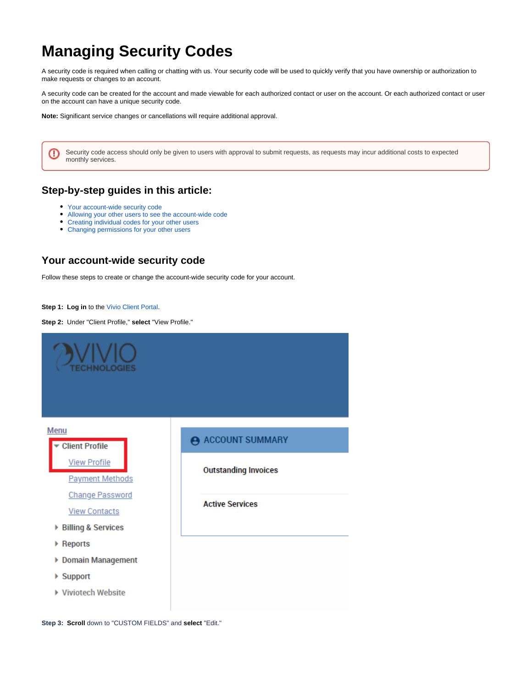# <span id="page-0-1"></span>**Managing Security Codes**

A security code is required when calling or chatting with us. Your security code will be used to quickly verify that you have ownership or authorization to make requests or changes to an account.

A security code can be created for the account and made viewable for each authorized contact or user on the account. Or each authorized contact or user on the account can have a unique security code.

**Note:** Significant service changes or cancellations will require additional approval.

Security code access should only be given to users with approval to submit requests, as requests may incur additional costs to expected monthly services.

### **Step-by-step guides in this article:**

[Your account-wide security code](#page-0-0)

℗

- $\bullet$ [Allowing your other users to see the account-wide code](#page-1-0)
- [Creating individual codes for your other users](#page-4-0)
- [Changing permissions for your other users](#page-7-0)

### <span id="page-0-0"></span>**Your account-wide security code**

Follow these steps to create or change the account-wide security code for your account.

**Step 1: Log in** to the [Vivio Client Portal.](https://portal.viviotech.net/)

**Step 2:** Under "Client Profile," **select** "View Profile."



**Step 3: Scroll** down to "CUSTOM FIELDS" and **select** "Edit."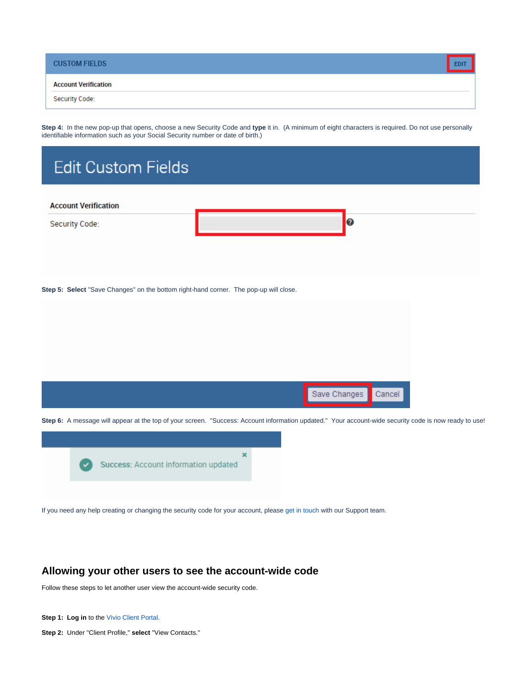| <b>CUSTOM FIELDS</b>        |  |
|-----------------------------|--|
| <b>Account Verification</b> |  |
| Security Code:              |  |

**Step 4:** In the new pop-up that opens, choose a new Security Code and **type** it in. (A minimum of eight characters is required. Do not use personally identifiable information such as your Social Security number or date of birth.)

| <b>Edit Custom Fields</b>                                                             |                                                                                                                                                       |
|---------------------------------------------------------------------------------------|-------------------------------------------------------------------------------------------------------------------------------------------------------|
| <b>Account Verification</b>                                                           |                                                                                                                                                       |
| Security Code:                                                                        | $\boldsymbol{c}$                                                                                                                                      |
| Step 5: Select "Save Changes" on the bottom right-hand corner. The pop-up will close. |                                                                                                                                                       |
|                                                                                       | Save Changes<br>Cancel                                                                                                                                |
|                                                                                       | Step 6: A message will appear at the top of your screen. "Success: Account information updated." Your account-wide security code is now ready to use! |
| Success: Account information updated                                                  | ×                                                                                                                                                     |

If you need any help creating or changing the security code for your account, please [get in touch](https://viviotech.net/contact-us/) with our Support team.

## <span id="page-1-0"></span>**Allowing your other users to see the account-wide code**

Follow these steps to let another user view the account-wide security code.

**Step 1: Log in** to the [Vivio Client Portal.](https://portal.viviotech.net/)

**Step 2:** Under "Client Profile," **select** "View Contacts."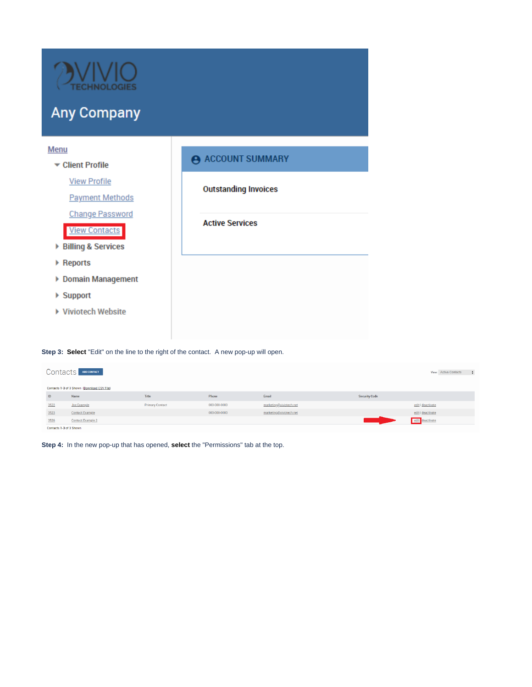

# **Any Company**

| <b>Menu</b>              |                             |
|--------------------------|-----------------------------|
| ▼ Client Profile         | A ACCOUNT SUMMARY           |
| <b>View Profile</b>      | <b>Outstanding Invoices</b> |
| <b>Payment Methods</b>   |                             |
| <b>Change Password</b>   |                             |
| <b>View Contacts</b>     | <b>Active Services</b>      |
| ▶ Billing & Services     |                             |
| ▶ Reports                |                             |
| ▶ Domain Management      |                             |
| $\triangleright$ Support |                             |
| ▶ Viviotech Website      |                             |
|                          |                             |
|                          |                             |

**Step 3: Select** "Edit" on the line to the right of the contact. A new pop-up will open.

| Contacts<br>ADD CONTACT<br>View: Active Contacts |                                             |                        |              |                         |                      |                   |  |  |  |
|--------------------------------------------------|---------------------------------------------|------------------------|--------------|-------------------------|----------------------|-------------------|--|--|--|
|                                                  | Contacts 1-3 of 3 Shown (Download CSV File) |                        |              |                         |                      |                   |  |  |  |
| ID                                               | Name                                        | Title                  | Phone        | Email                   | <b>Security Code</b> |                   |  |  |  |
| 3522                                             | <b>Joe Example</b>                          | <b>Primary Contact</b> | 000-000-0000 | marketing@viviotech.net |                      | edit   deactivate |  |  |  |
| 3523                                             | <b>Contact Example</b>                      |                        | 000-000-0000 | marketing@viviotech.net |                      | edit   deactivate |  |  |  |
| 3526                                             | <b>Contact Example 2</b>                    |                        |              |                         |                      | edit deactivate   |  |  |  |
|                                                  | Contacts 1-3 of 3 Shown                     |                        |              |                         |                      |                   |  |  |  |

**Step 4:** In the new pop-up that has opened, **select** the "Permissions" tab at the top.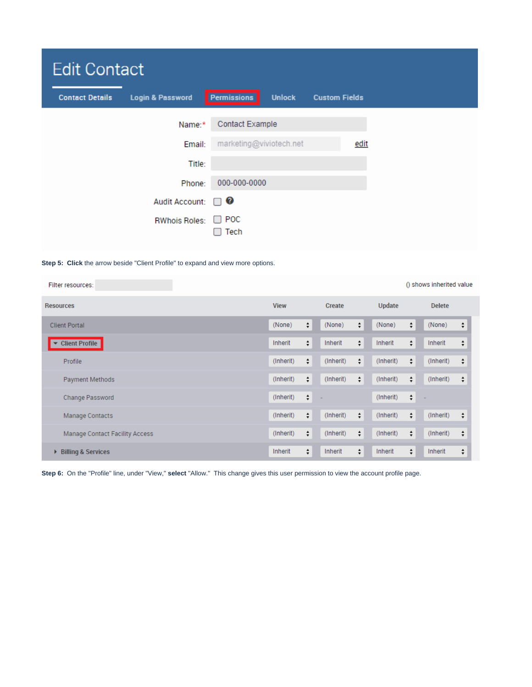| <b>Edit Contact</b>    |                             |                         |               |                      |  |  |  |
|------------------------|-----------------------------|-------------------------|---------------|----------------------|--|--|--|
| <b>Contact Details</b> | <b>Login &amp; Password</b> | Permissions             | <b>Unlock</b> | <b>Custom Fields</b> |  |  |  |
|                        | Name:*                      | <b>Contact Example</b>  |               |                      |  |  |  |
|                        | Email:                      | marketing@viviotech.net |               | <u>edit</u>          |  |  |  |
|                        | Title:                      |                         |               |                      |  |  |  |
|                        | Phone:                      | 000-000-0000            |               |                      |  |  |  |
|                        | <b>Audit Account:</b>       | Ø<br>. .                |               |                      |  |  |  |
|                        | <b>RWhois Roles:</b>        | $\Box$ POC<br>Tech      |               |                      |  |  |  |

#### **Step 5: Click** the arrow beside "Client Profile" to expand and view more options.

| Filter resources:              |                |           |                | () shows inherited value        |
|--------------------------------|----------------|-----------|----------------|---------------------------------|
| <b>Resources</b>               | <b>View</b>    | Create    | <b>Update</b>  | <b>Delete</b>                   |
| <b>Client Portal</b>           | $\div$         | $\div$    | ÷              | ÷                               |
|                                | (None)         | (None)    | (None)         | (None)                          |
| <b>Client Profile</b>          | ÷              | $\div$    | ÷              | $\overset{\bullet}{\mathbf{v}}$ |
| ▼                              | Inherit        | Inherit   | Inherit        | Inherit                         |
| Profile                        | (Inherit)      | ÷         | ÷              | ÷                               |
|                                | ÷              | (Inherit) | (Inherit)      | (Inherit)                       |
| Payment Methods                | ÷              | $\div$    | ÷              | ÷                               |
|                                | (Inherit)      | (Inherit) | (Inherit)      | (Inherit)                       |
| Change Password                | ÷<br>(Inherit) |           | ÷<br>(Inherit) |                                 |
| Manage Contacts                | ÷              | (Inherit) | ÷              | (Inherit)                       |
|                                | (Inherit)      | ÷         | (Inherit)      | ÷                               |
| Manage Contact Facility Access | ÷              | $\div$    | ÷              | $\hat{\mathbf{v}}$              |
|                                | (Inherit)      | (Inherit) | (Inherit)      | (Inherit)                       |
| <b>Billing &amp; Services</b>  | ÷              | ÷         | ÷              | ÷                               |
| Þ                              | Inherit        | Inherit   | Inherit        | Inherit                         |

**Step 6:** On the "Profile" line, under "View," **select** "Allow." This change gives this user permission to view the account profile page.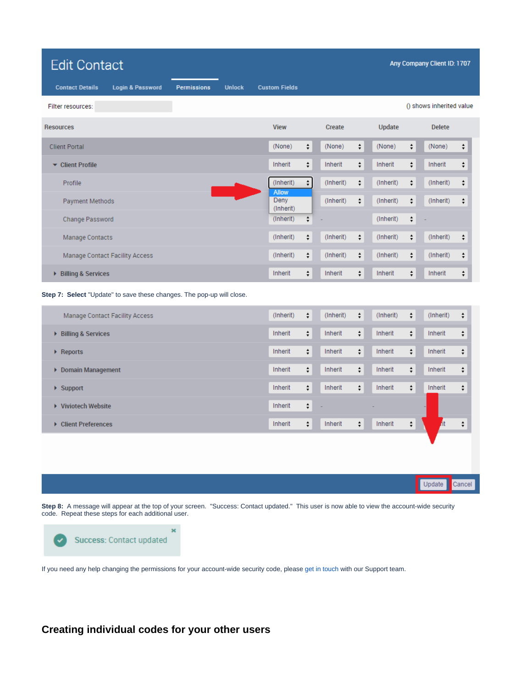| <b>Edit Contact</b><br>Any Company Client ID: 1707                                           |                                               |                                                                   |                                                     |                                        |  |  |  |
|----------------------------------------------------------------------------------------------|-----------------------------------------------|-------------------------------------------------------------------|-----------------------------------------------------|----------------------------------------|--|--|--|
| <b>Login &amp; Password</b><br><b>Unlock</b><br><b>Contact Details</b><br><b>Permissions</b> | <b>Custom Fields</b>                          |                                                                   |                                                     |                                        |  |  |  |
| Filter resources:                                                                            |                                               |                                                                   |                                                     | () shows inherited value               |  |  |  |
| <b>Resources</b>                                                                             | <b>View</b>                                   | Create                                                            | <b>Update</b>                                       | <b>Delete</b>                          |  |  |  |
| <b>Client Portal</b>                                                                         | $\overset{\bullet}{\mathbf{v}}$               | ÷                                                                 | $\overset{\blacktriangle}{\mathbf{v}}$              | (None)                                 |  |  |  |
|                                                                                              | (None)                                        | (None)                                                            | (None)                                              | $\hat{\mathbf{t}}$                     |  |  |  |
| ▼ Client Profile                                                                             | $\div$                                        | Inherit                                                           | $\overset{\blacktriangle}{\textbf{v}}$              | $\overset{\blacktriangle}{\mathbf{v}}$ |  |  |  |
|                                                                                              | Inherit                                       | $\stackrel{\blacktriangle}{\bm{\tau}}$                            | Inherit                                             | Inherit                                |  |  |  |
| Profile                                                                                      | $\overset{\bullet}{\mathbf{v}}$               | (Inherit)                                                         | (Inherit)                                           | (Inherit)                              |  |  |  |
|                                                                                              | (Inherit)                                     | ÷                                                                 | ۰                                                   | ÷                                      |  |  |  |
| Payment Methods                                                                              | <b>Allow</b><br>Deny<br>(Inherit)             | (Inherit)<br>÷                                                    | $\stackrel{\blacktriangle}{\bm{\tau}}$<br>(Inherit) | (Inherit)<br>÷                         |  |  |  |
| Change Password                                                                              | $\div$<br>(Inherit)                           |                                                                   | $\overset{\blacktriangle}{\bm{v}}$<br>(Inherit)     |                                        |  |  |  |
| Manage Contacts                                                                              | $\div$                                        | (Inherit)                                                         | $\stackrel{\blacktriangle}{\bm{\tau}}$              | (Inherit)                              |  |  |  |
|                                                                                              | (Inherit)                                     | ÷                                                                 | (Inherit)                                           | $\overset{\blacktriangle}{\bm{v}}$     |  |  |  |
| Manage Contact Facility Access                                                               | (Inherit)                                     | (Inherit)                                                         | $\stackrel{\blacktriangle}{\bm{\tau}}$              | $\overset{\bullet}{\mathbf{v}}$        |  |  |  |
|                                                                                              | $\div$                                        | $\overset{\blacktriangle}{\bm{v}}$                                | (Inherit)                                           | (Inherit)                              |  |  |  |
| ▶ Billing & Services                                                                         | Inherit                                       | Inherit                                                           | Inherit                                             | Inherit                                |  |  |  |
|                                                                                              | $\hat{\mathbf{r}}$                            | ÷                                                                 | $\overset{\blacktriangle}{\bm{v}}$                  | $\overset{\blacktriangle}{\mathbf{v}}$ |  |  |  |
| Step 7: Select "Update" to save these changes. The pop-up will close.                        |                                               |                                                                   |                                                     |                                        |  |  |  |
| Manage Contact Facility Access                                                               | (Inherit)                                     | (Inherit)                                                         | (Inherit)                                           | (Inherit)                              |  |  |  |
|                                                                                              | $\overset{\blacktriangle}{\mathbf{v}}$        | $\overset{\blacktriangle}{\mathbf{v}}$                            | $\overset{\blacktriangle}{\textbf{v}}$              | $\overset{\blacktriangle}{\mathbf{v}}$ |  |  |  |
| ▶ Billing & Services                                                                         | $\overset{\blacktriangle}{\tau}$              | Inherit                                                           | $\overset{\blacktriangle}{\bm{v}}$                  | $\stackrel{\blacktriangle}{\bm{\tau}}$ |  |  |  |
|                                                                                              | Inherit                                       | ÷                                                                 | Inherit                                             | Inherit                                |  |  |  |
| ▶ Reports                                                                                    | $\overset{\blacktriangle}{\mathbf{v}}$        | $\stackrel{\blacktriangle}{\bm{\tau}}$                            | $\overset{\blacktriangle}{\bm{v}}$                  | $\overset{\blacktriangle}{\bm{\tau}}$  |  |  |  |
|                                                                                              | <b>Inherit</b>                                | Inherit                                                           | Inherit                                             | Inherit                                |  |  |  |
| Domain Management                                                                            | Inherit                                       | ÷                                                                 | Inherit                                             | ÷                                      |  |  |  |
|                                                                                              | $\stackrel{\blacktriangle}{\bm{\tau}}$        | Inherit                                                           | $\overset{\blacktriangle}{\bm{v}}$                  | Inherit                                |  |  |  |
| $\blacktriangleright$ Support                                                                | $\overset{\blacktriangle}{\bm{v}}$            | $\stackrel{\scriptscriptstyle\bullet}{\scriptscriptstyle\bullet}$ | ÷                                                   | $\overset{\blacktriangle}{\bm{v}}$     |  |  |  |
|                                                                                              | Inherit                                       | Inherit                                                           | Inherit                                             | Inherit                                |  |  |  |
| Viviotech Website                                                                            | $\overset{\blacktriangle}{\bm{v}}$<br>Inherit |                                                                   |                                                     |                                        |  |  |  |
| ▶ Client Preferences                                                                         | $\hat{\mathbf{r}}$                            | $\stackrel{\blacktriangle}{\bm{\tau}}$                            | Inherit                                             | Æ                                      |  |  |  |
|                                                                                              | Inherit                                       | Inherit                                                           | $\stackrel{\star}{\mathbf{\ast}}$                   | $\overset{\bullet}{\mathbf{v}}$        |  |  |  |
|                                                                                              |                                               |                                                                   |                                                     |                                        |  |  |  |
|                                                                                              |                                               |                                                                   |                                                     |                                        |  |  |  |
|                                                                                              |                                               |                                                                   |                                                     | Update<br>Cancel                       |  |  |  |

**Step 8:** A message will appear at the top of your screen. "Success: Contact updated." This user is now able to view the account-wide security code. Repeat these steps for each additional user.



If you need any help changing the permissions for your account-wide security code, please [get in touch](https://viviotech.net/contact-us/) with our Support team.

<span id="page-4-0"></span>**Creating individual codes for your other users**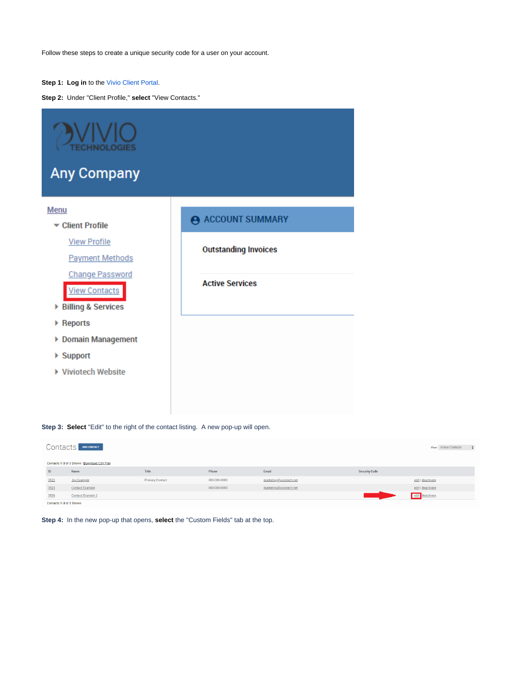Follow these steps to create a unique security code for a user on your account.

#### **Step 1: Log in** to the [Vivio Client Portal.](https://portal.viviotech.net/)

**Step 2:** Under "Client Profile," **select** "View Contacts."

| <b>ECHNOLOGIES</b><br><b>Any Company</b>       |                             |
|------------------------------------------------|-----------------------------|
| <b>Menu</b><br>▼ Client Profile                | ACCOUNT SUMMARY             |
| <b>View Profile</b><br><b>Payment Methods</b>  | <b>Outstanding Invoices</b> |
| <b>Change Password</b><br><b>View Contacts</b> | <b>Active Services</b>      |
| ▶ Billing & Services<br>▶ Reports              |                             |
| ▶ Domain Management                            |                             |
| $\triangleright$ Support                       |                             |
| Viviotech Website                              |                             |

#### **Step 3: Select** "Edit" to the right of the contact listing. A new pop-up will open.

| <b>Contacts</b><br>ADD CONTACT<br>View: Active Contacts |                                             |                        |              |                         |                      |                   |  |
|---------------------------------------------------------|---------------------------------------------|------------------------|--------------|-------------------------|----------------------|-------------------|--|
|                                                         | Contacts 1-3 of 3 Shown (Download CSV File) |                        |              |                         |                      |                   |  |
| ID                                                      | Name                                        | Title                  | Phone        | Email                   | <b>Security Code</b> |                   |  |
| 3522                                                    | Joe Example                                 | <b>Primary Contact</b> | 000-000-0000 | marketing@viviotech.net |                      | edit   deactivate |  |
| 3523                                                    | <b>Contact Example</b>                      |                        | 000-000-0000 | marketing@viviotech.net |                      | edit   deactivate |  |
| 3526                                                    | <b>Contact Example 2</b>                    |                        |              |                         |                      | edit deactivate   |  |
| Contacts 1-3 of 3 Shown                                 |                                             |                        |              |                         |                      |                   |  |

**Step 4:** In the new pop-up that opens, **select** the "Custom Fields" tab at the top.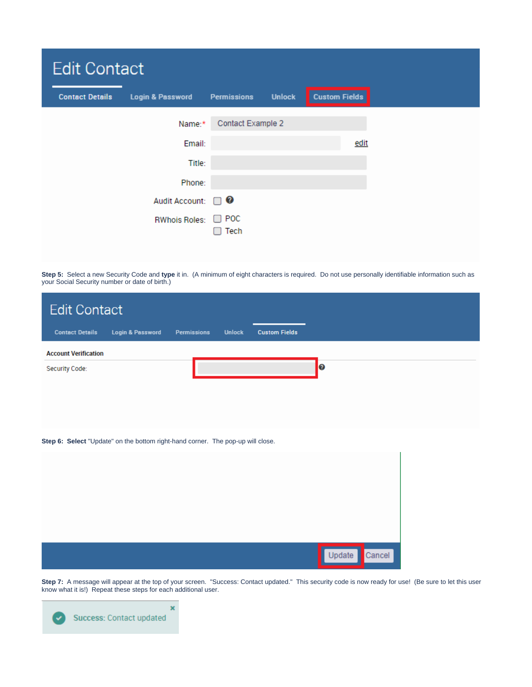|                        | <b>Edit Contact</b>         |                    |               |                      |  |  |  |  |
|------------------------|-----------------------------|--------------------|---------------|----------------------|--|--|--|--|
| <b>Contact Details</b> | <b>Login &amp; Password</b> | <b>Permissions</b> | <b>Unlock</b> | <b>Custom Fields</b> |  |  |  |  |
|                        | Name:*                      | Contact Example 2  |               |                      |  |  |  |  |
|                        | Email:                      |                    |               | edit                 |  |  |  |  |
|                        | Title:                      |                    |               |                      |  |  |  |  |
|                        | Phone:                      |                    |               |                      |  |  |  |  |
|                        | <b>Audit Account:</b>       | $\Box$ 0           |               |                      |  |  |  |  |
|                        | <b>RWhois Roles:</b>        | $\Box$ POC<br>Tech |               |                      |  |  |  |  |

**Step 5:** Select a new Security Code and **type** it in. (A minimum of eight characters is required. Do not use personally identifiable information such as your Social Security number or date of birth.)

| <b>Edit Contact</b>                                                             |                             |                    |               |                      |                  |  |
|---------------------------------------------------------------------------------|-----------------------------|--------------------|---------------|----------------------|------------------|--|
| <b>Contact Details</b>                                                          | <b>Login &amp; Password</b> | <b>Permissions</b> | <b>Unlock</b> | <b>Custom Fields</b> |                  |  |
| <b>Account Verification</b>                                                     |                             |                    |               |                      |                  |  |
| Security Code:                                                                  |                             |                    |               |                      | $\boldsymbol{c}$ |  |
|                                                                                 |                             |                    |               |                      |                  |  |
|                                                                                 |                             |                    |               |                      |                  |  |
|                                                                                 |                             |                    |               |                      |                  |  |
| Step 6: Select "Update" on the bottom right-hand corner. The pop-up will close. |                             |                    |               |                      |                  |  |
|                                                                                 |                             |                    |               |                      |                  |  |
|                                                                                 |                             |                    |               |                      |                  |  |
|                                                                                 |                             |                    |               |                      |                  |  |

**Step 7:** A message will appear at the top of your screen. "Success: Contact updated." This security code is now ready for use! (Be sure to let this user know what it is!) Repeat these steps for each additional user.

Update

Cancel

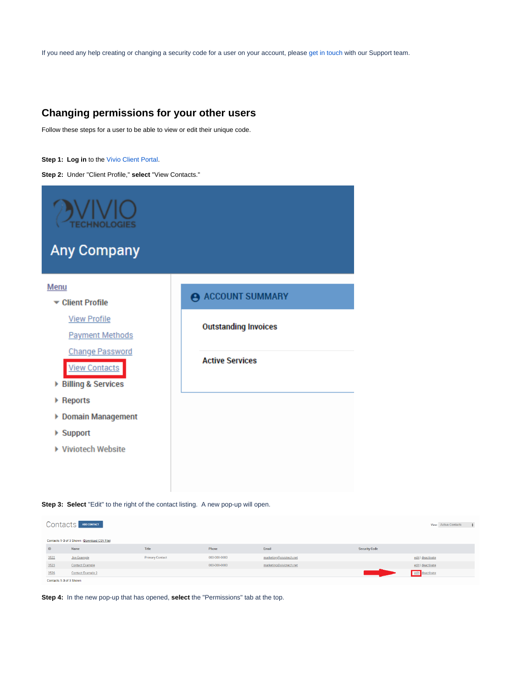If you need any help creating or changing a security code for a user on your account, please [get in touch](https://viviotech.net/contact-us/) with our Support team.

## <span id="page-7-0"></span>**Changing permissions for your other users**

Follow these steps for a user to be able to view or edit their unique code.

#### **Step 1: Log in** to the [Vivio Client Portal.](https://portal.viviotech.net/)

**Step 2:** Under "Client Profile," **select** "View Contacts."





| Contacts F<br>ADD CONTACT<br>View: Active Contacts |                                             |                        |              |                         |                      |                   |  |
|----------------------------------------------------|---------------------------------------------|------------------------|--------------|-------------------------|----------------------|-------------------|--|
|                                                    | Contacts 1-3 of 3 Shown (Download CSV File) |                        |              |                         |                      |                   |  |
| ID                                                 | Name                                        | Title                  | Phone        | Email                   | <b>Security Code</b> |                   |  |
| 3522                                               | <b>Joe Example</b>                          | <b>Primary Contact</b> | 000-000-0000 | marketing@viviotech.net |                      | edit   deactivate |  |
| 3523                                               | <b>Contact Example</b>                      |                        | 000-000-0000 | marketing@viviotech.net |                      | edit   deactivate |  |
| 3526                                               | <b>Contact Example 2</b>                    |                        |              |                         |                      | edit deactivate   |  |
| Contacts 1-3 of 3 Shown                            |                                             |                        |              |                         |                      |                   |  |

**Step 4:** In the new pop-up that has opened, **select** the "Permissions" tab at the top.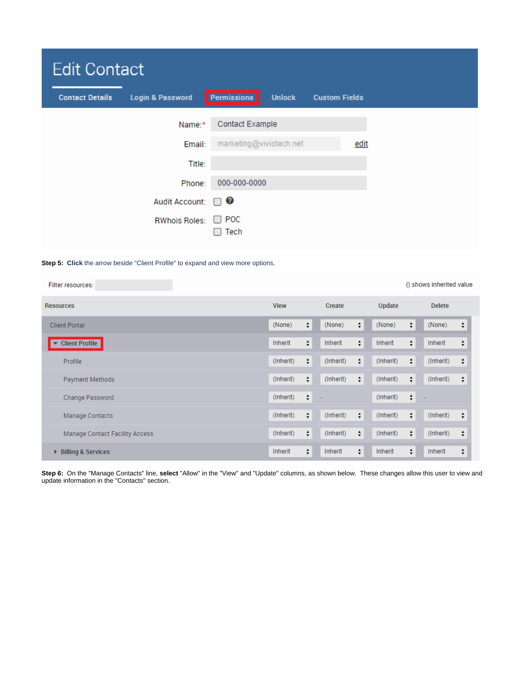| <b>Edit Contact</b>    |                             |                         |               |                      |  |  |
|------------------------|-----------------------------|-------------------------|---------------|----------------------|--|--|
| <b>Contact Details</b> | <b>Login &amp; Password</b> | Permissions             | <b>Unlock</b> | <b>Custom Fields</b> |  |  |
|                        | Name:*                      | <b>Contact Example</b>  |               |                      |  |  |
|                        | Email:                      | marketing@viviotech.net |               | edit                 |  |  |
|                        | Title:                      |                         |               |                      |  |  |
|                        | Phone:                      | 000-000-0000            |               |                      |  |  |
|                        | <b>Audit Account:</b>       | Ø<br>H                  |               |                      |  |  |
|                        | <b>RWhois Roles:</b>        | $\Box$ POC<br>Tech      |               |                      |  |  |

#### **Step 5: Click** the arrow beside "Client Profile" to expand and view more options.

| Filter resources:                  | () shows inherited value |             |           |               |           |        |               |                    |
|------------------------------------|--------------------------|-------------|-----------|---------------|-----------|--------|---------------|--------------------|
| <b>Resources</b>                   |                          | <b>View</b> |           | <b>Create</b> |           |        | <b>Delete</b> |                    |
| <b>Client Portal</b>               | (None)                   | ÷           | (None)    | $\div$        | (None)    | ÷      | (None)        | ÷                  |
| <b>Client Profile</b><br>▼         | Inherit                  | ÷           | Inherit   | $\div$        | Inherit   | ÷      | Inherit       | $\hat{\mathbf{v}}$ |
| Profile                            | (Inherit)                | ÷           | (Inherit) | $\div$        | (Inherit) | ÷      | (Inherit)     | ÷                  |
| Payment Methods                    | (Inherit)                | ÷           | (Inherit) | $\div$        | (Inherit) | ÷      | (Inherit)     | ÷                  |
| Change Password                    | (Inherit)                | ÷           |           |               | (Inherit) | $\div$ |               |                    |
| Manage Contacts                    | (Inherit)                | ÷           | (Inherit) | $\div$        | (Inherit) | ÷      | (Inherit)     | ÷                  |
| Manage Contact Facility Access     | (Inherit)                | ÷           | (Inherit) | $\div$        | (Inherit) | $\div$ | (Inherit)     | ÷                  |
| <b>Billing &amp; Services</b><br>Þ | Inherit                  | ÷           | Inherit   | ÷             | Inherit   | $\div$ | Inherit       | ÷                  |

**Step 6:** On the "Manage Contacts" line, **select** "Allow" in the "View" and "Update" columns, as shown below. These changes allow this user to view and update information in the "Contacts" section.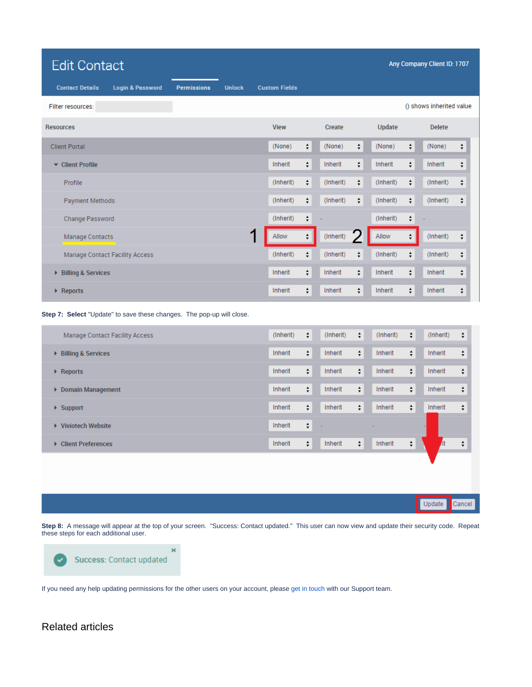| <b>Edit Contact</b>                                   |                    |               |                      |                                        |                   |                          |                                        | Any Company Client ID: 1707 |                                        |  |  |  |
|-------------------------------------------------------|--------------------|---------------|----------------------|----------------------------------------|-------------------|--------------------------|----------------------------------------|-----------------------------|----------------------------------------|--|--|--|
| <b>Contact Details</b><br><b>Login &amp; Password</b> | <b>Permissions</b> | <b>Unlock</b> | <b>Custom Fields</b> |                                        |                   |                          |                                        |                             |                                        |  |  |  |
| Filter resources:                                     |                    |               |                      |                                        |                   | () shows inherited value |                                        |                             |                                        |  |  |  |
| <b>Resources</b>                                      |                    |               | <b>View</b>          |                                        | <b>Create</b>     | <b>Update</b>            |                                        | <b>Delete</b>               |                                        |  |  |  |
| <b>Client Portal</b>                                  |                    |               | (None)               | $\div$                                 | $\div$<br>(None)  | (None)                   | ÷                                      | (None)                      | $\div$                                 |  |  |  |
| ▼ Client Profile                                      |                    |               | Inherit              | $\stackrel{\blacktriangle}{\bm{\tau}}$ | $\div$<br>Inherit | Inherit                  | $\div$                                 | Inherit                     | ÷                                      |  |  |  |
| Profile                                               |                    |               | (Inherit)            | $\div$                                 | ÷<br>(Inherit)    | (Inherit)                | $\div$                                 | (Inherit)                   | $\div$                                 |  |  |  |
| <b>Payment Methods</b>                                |                    |               | (Inherit)            | $\stackrel{\star}{\mathbf{\ast}}$      | ÷<br>(Inherit)    | (Inherit)                | $\div$                                 | (Inherit)                   | $\stackrel{\blacktriangle}{\bm{\tau}}$ |  |  |  |
| Change Password                                       |                    |               | (Inherit)            | $\div$                                 |                   | (Inherit)                | ÷                                      |                             |                                        |  |  |  |
| Manage Contacts                                       |                    | и             | Allow                | $\div$                                 | (Inherit)         | Allow                    | $\stackrel{\blacktriangle}{\bm{\tau}}$ | (Inherit)                   | ÷                                      |  |  |  |
| Manage Contact Facility Access                        |                    |               | (Inherit)            | ÷                                      | (Inherit)<br>÷    | (Inherit)                | $\div$                                 | (Inherit)                   | ÷                                      |  |  |  |
| <b>Billing &amp; Services</b><br>r                    |                    |               | Inherit              | $\stackrel{\blacktriangle}{\bm{\tau}}$ | $\div$<br>Inherit | Inherit                  | $\div$                                 | Inherit                     | $\overset{\blacktriangle}{\bm{v}}$     |  |  |  |
| ▶ Reports                                             |                    |               | Inherit              | $\div$                                 | $\div$<br>Inherit | Inherit                  | $\div$                                 | Inherit                     | ÷                                      |  |  |  |

**Step 7: Select** "Update" to save these changes. The pop-up will close.

| Manage Contact Facility Access     | (Inherit) | $\div$ | (Inherit) | $\div$ | (Inherit) | $\div$ | (Inherit) | ÷      |
|------------------------------------|-----------|--------|-----------|--------|-----------|--------|-----------|--------|
| <b>Billing &amp; Services</b><br>× | Inherit   | $\div$ | Inherit   | $\div$ | Inherit   | $\div$ | Inherit   | ÷      |
| $\triangleright$ Reports           | Inherit   | ÷      | Inherit   | $\div$ | Inherit   | ÷      | Inherit   | $\div$ |
| <b>Domain Management</b><br>Þ.     | Inherit   | ÷      | Inherit   | $\div$ | Inherit   | ÷      | Inherit   | ÷      |
| $\blacktriangleright$ Support      | Inherit   | ÷      | Inherit   | $\div$ | Inherit   | $\div$ | Inherit   | $\div$ |
| <b>Viviotech Website</b><br>Þ.     | Inherit   | ÷      |           |        |           |        |           |        |
| <b>Client Preferences</b><br>Þ.    | Inherit   | ÷      | Inherit   | $\div$ | Inherit   | ÷      |           | $\div$ |
|                                    |           |        |           |        |           |        |           |        |

**Step 8:** A message will appear at the top of your screen. "Success: Contact updated." This user can now view and update their security code. Repeat these steps for each additional user.

Update

Cancel



If you need any help updating permissions for the other users on your account, please [get in touch](https://viviotech.net/contact-us/) with our Support team.

## Related articles